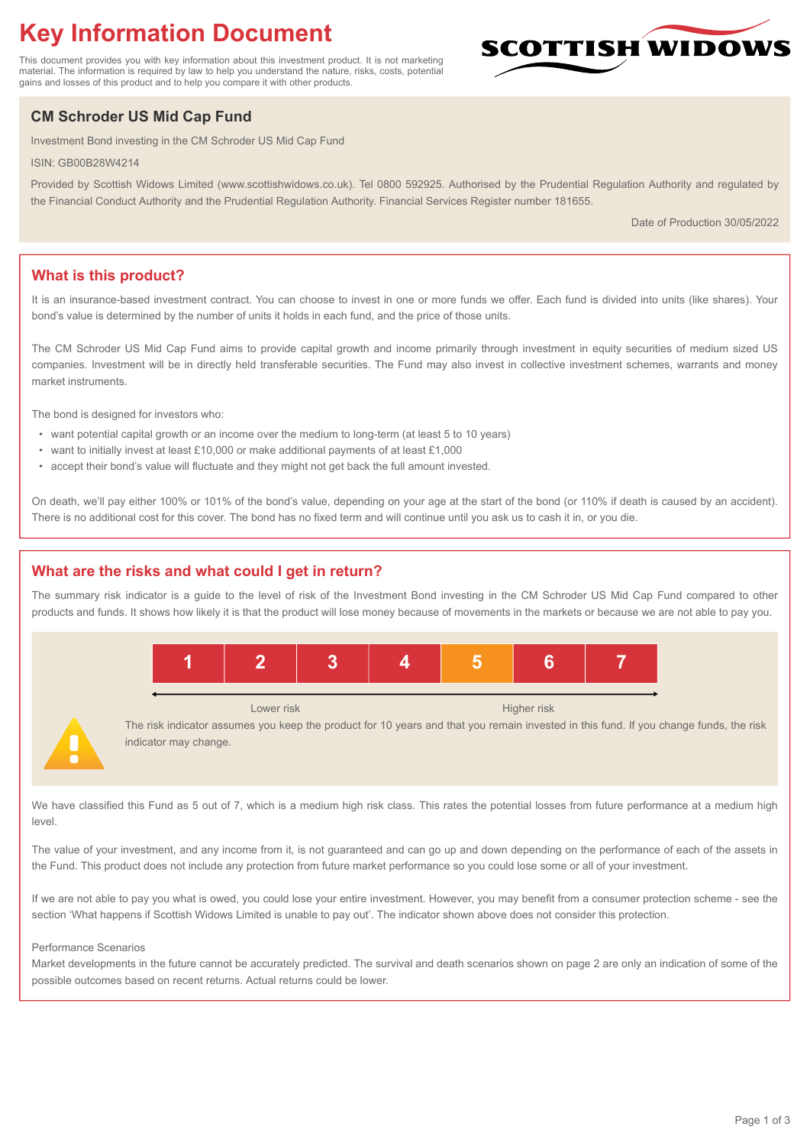# **Key Information Document**

This document provides you with key information about this investment product. It is not marketing material. The information is required by law to help you understand the nature, risks, costs, potential gains and losses of this product and to help you compare it with other products.

# **CM Schroder US Mid Cap Fund**

Investment Bond investing in the CM Schroder US Mid Cap Fund

ISIN: GB00B28W4214

Provided by Scottish Widows Limited (www.scottishwidows.co.uk). Tel 0800 592925. Authorised by the Prudential Regulation Authority and regulated by the Financial Conduct Authority and the Prudential Regulation Authority. Financial Services Register number 181655.

Date of Production 30/05/2022

COTTISH WIDOV

# **What is this product?**

It is an insurance-based investment contract. You can choose to invest in one or more funds we offer. Each fund is divided into units (like shares). Your bond's value is determined by the number of units it holds in each fund, and the price of those units.

The CM Schroder US Mid Cap Fund aims to provide capital growth and income primarily through investment in equity securities of medium sized US companies. Investment will be in directly held transferable securities. The Fund may also invest in collective investment schemes, warrants and money market instruments.

The bond is designed for investors who:

- want potential capital growth or an income over the medium to long-term (at least 5 to 10 years)
- want to initially invest at least £10,000 or make additional payments of at least £1,000
- accept their bond's value will fluctuate and they might not get back the full amount invested.

On death, we'll pay either 100% or 101% of the bond's value, depending on your age at the start of the bond (or 110% if death is caused by an accident). There is no additional cost for this cover. The bond has no fixed term and will continue until you ask us to cash it in, or you die.

## **What are the risks and what could I get in return?**

The summary risk indicator is a guide to the level of risk of the Investment Bond investing in the CM Schroder US Mid Cap Fund compared to other products and funds. It shows how likely it is that the product will lose money because of movements in the markets or because we are not able to pay you.



Lower risk Higher risk

The risk indicator assumes you keep the product for 10 years and that you remain invested in this fund. If you change funds, the risk indicator may change.

We have classified this Fund as 5 out of 7, which is a medium high risk class. This rates the potential losses from future performance at a medium high level.

The value of your investment, and any income from it, is not guaranteed and can go up and down depending on the performance of each of the assets in the Fund. This product does not include any protection from future market performance so you could lose some or all of your investment.

If we are not able to pay you what is owed, you could lose your entire investment. However, you may benefit from a consumer protection scheme - see the section 'What happens if Scottish Widows Limited is unable to pay out'. The indicator shown above does not consider this protection.

#### Performance Scenarios

Market developments in the future cannot be accurately predicted. The survival and death scenarios shown on page 2 are only an indication of some of the possible outcomes based on recent returns. Actual returns could be lower.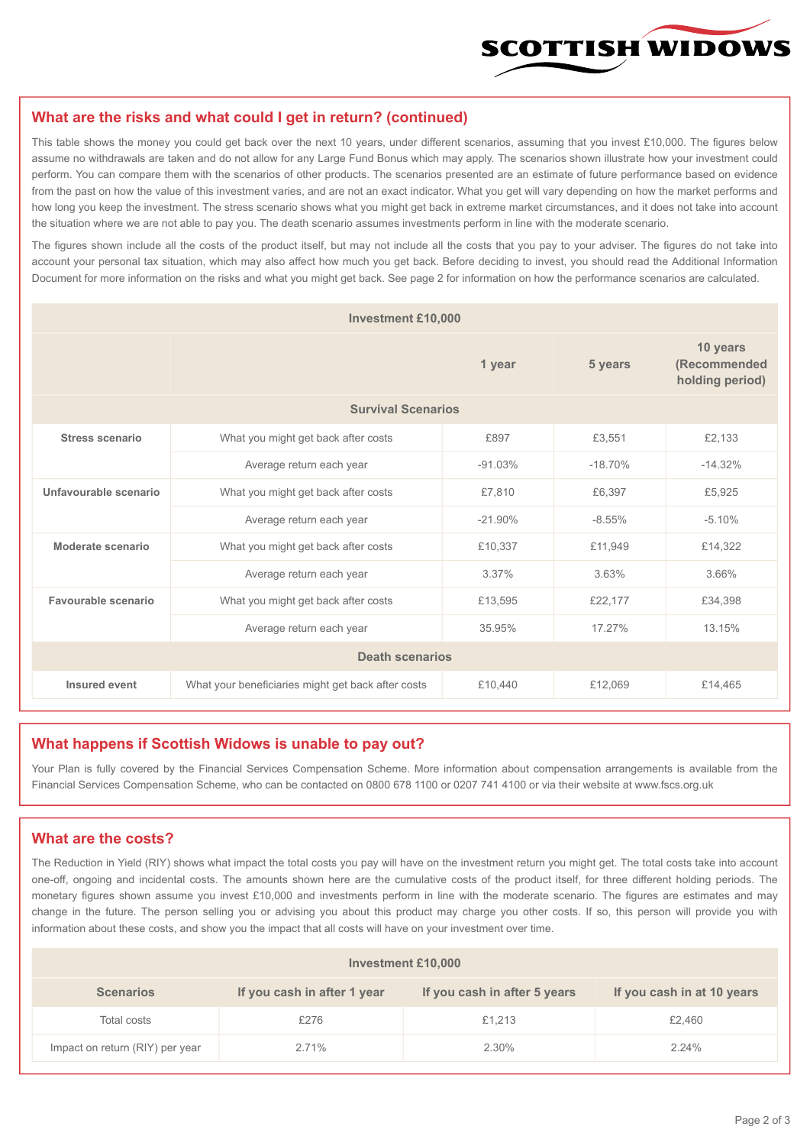

#### **What are the risks and what could I get in return? (continued)**

This table shows the money you could get back over the next 10 years, under different scenarios, assuming that you invest £10,000. The figures below assume no withdrawals are taken and do not allow for any Large Fund Bonus which may apply. The scenarios shown illustrate how your investment could perform. You can compare them with the scenarios of other products. The scenarios presented are an estimate of future performance based on evidence from the past on how the value of this investment varies, and are not an exact indicator. What you get will vary depending on how the market performs and how long you keep the investment. The stress scenario shows what you might get back in extreme market circumstances, and it does not take into account the situation where we are not able to pay you. The death scenario assumes investments perform in line with the moderate scenario.

The figures shown include all the costs of the product itself, but may not include all the costs that you pay to your adviser. The figures do not take into account your personal tax situation, which may also affect how much you get back. Before deciding to invest, you should read the Additional Information Document for more information on the risks and what you might get back. See page 2 for information on how the performance scenarios are calculated.

| <b>Investment £10,000</b> |                                                    |           |           |                                             |  |  |
|---------------------------|----------------------------------------------------|-----------|-----------|---------------------------------------------|--|--|
|                           | 1 year                                             |           | 5 years   | 10 years<br>(Recommended<br>holding period) |  |  |
| <b>Survival Scenarios</b> |                                                    |           |           |                                             |  |  |
| <b>Stress scenario</b>    | What you might get back after costs                | £897      | £3,551    | £2,133                                      |  |  |
|                           | Average return each year                           | $-91.03%$ | $-18.70%$ | $-14.32%$                                   |  |  |
| Unfavourable scenario     | What you might get back after costs                | £7,810    | £6,397    | £5,925                                      |  |  |
|                           | Average return each year                           | $-21.90%$ | $-8.55%$  | $-5.10%$                                    |  |  |
| Moderate scenario         | What you might get back after costs                | £10,337   | £11,949   | £14,322                                     |  |  |
|                           | Average return each year                           | 3.37%     | 3.63%     | 3.66%                                       |  |  |
| Favourable scenario       | What you might get back after costs                | £13,595   | £22,177   | £34,398                                     |  |  |
| Average return each year  |                                                    | 35.95%    | 17.27%    | 13.15%                                      |  |  |
| <b>Death scenarios</b>    |                                                    |           |           |                                             |  |  |
| Insured event             | What your beneficiaries might get back after costs | £10,440   | £12,069   | £14,465                                     |  |  |

#### **What happens if Scottish Widows is unable to pay out?**

Your Plan is fully covered by the Financial Services Compensation Scheme. More information about compensation arrangements is available from the Financial Services Compensation Scheme, who can be contacted on 0800 678 1100 or 0207 741 4100 or via their website at www.fscs.org.uk

# **What are the costs?**

The Reduction in Yield (RIY) shows what impact the total costs you pay will have on the investment return you might get. The total costs take into account one-off, ongoing and incidental costs. The amounts shown here are the cumulative costs of the product itself, for three different holding periods. The monetary figures shown assume you invest £10,000 and investments perform in line with the moderate scenario. The figures are estimates and may change in the future. The person selling you or advising you about this product may charge you other costs. If so, this person will provide you with information about these costs, and show you the impact that all costs will have on your investment over time.

| Investment £10,000              |                             |                              |                            |  |  |  |
|---------------------------------|-----------------------------|------------------------------|----------------------------|--|--|--|
| <b>Scenarios</b>                | If you cash in after 1 year | If you cash in after 5 years | If you cash in at 10 years |  |  |  |
| Total costs                     | £276                        | £1,213                       | £2,460                     |  |  |  |
| Impact on return (RIY) per year | 2.71%                       | 2.30%                        | 2.24%                      |  |  |  |